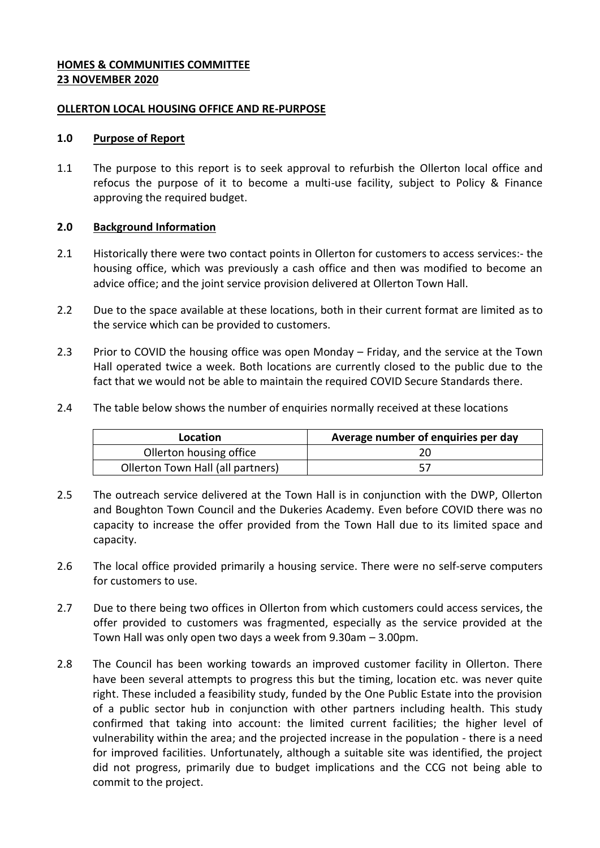# **HOMES & COMMUNITIES COMMITTEE 23 NOVEMBER 2020**

#### **OLLERTON LOCAL HOUSING OFFICE AND RE-PURPOSE**

#### **1.0 Purpose of Report**

1.1 The purpose to this report is to seek approval to refurbish the Ollerton local office and refocus the purpose of it to become a multi-use facility, subject to Policy & Finance approving the required budget.

# **2.0 Background Information**

- 2.1 Historically there were two contact points in Ollerton for customers to access services:- the housing office, which was previously a cash office and then was modified to become an advice office; and the joint service provision delivered at Ollerton Town Hall.
- 2.2 Due to the space available at these locations, both in their current format are limited as to the service which can be provided to customers.
- 2.3 Prior to COVID the housing office was open Monday Friday, and the service at the Town Hall operated twice a week. Both locations are currently closed to the public due to the fact that we would not be able to maintain the required COVID Secure Standards there.
- 2.4 The table below shows the number of enquiries normally received at these locations

| Location                          | Average number of enquiries per day |
|-----------------------------------|-------------------------------------|
| Ollerton housing office           |                                     |
| Ollerton Town Hall (all partners) |                                     |

- 2.5 The outreach service delivered at the Town Hall is in conjunction with the DWP, Ollerton and Boughton Town Council and the Dukeries Academy. Even before COVID there was no capacity to increase the offer provided from the Town Hall due to its limited space and capacity.
- 2.6 The local office provided primarily a housing service. There were no self-serve computers for customers to use.
- 2.7 Due to there being two offices in Ollerton from which customers could access services, the offer provided to customers was fragmented, especially as the service provided at the Town Hall was only open two days a week from 9.30am – 3.00pm.
- 2.8 The Council has been working towards an improved customer facility in Ollerton. There have been several attempts to progress this but the timing, location etc. was never quite right. These included a feasibility study, funded by the One Public Estate into the provision of a public sector hub in conjunction with other partners including health. This study confirmed that taking into account: the limited current facilities; the higher level of vulnerability within the area; and the projected increase in the population - there is a need for improved facilities. Unfortunately, although a suitable site was identified, the project did not progress, primarily due to budget implications and the CCG not being able to commit to the project.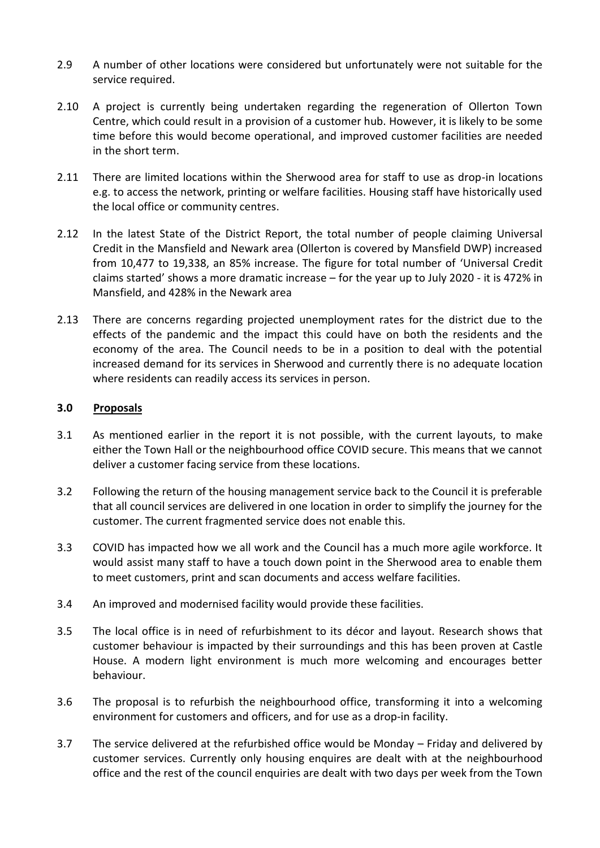- 2.9 A number of other locations were considered but unfortunately were not suitable for the service required.
- 2.10 A project is currently being undertaken regarding the regeneration of Ollerton Town Centre, which could result in a provision of a customer hub. However, it is likely to be some time before this would become operational, and improved customer facilities are needed in the short term.
- 2.11 There are limited locations within the Sherwood area for staff to use as drop-in locations e.g. to access the network, printing or welfare facilities. Housing staff have historically used the local office or community centres.
- 2.12 In the latest State of the District Report, the total number of people claiming Universal Credit in the Mansfield and Newark area (Ollerton is covered by Mansfield DWP) increased from 10,477 to 19,338, an 85% increase. The figure for total number of 'Universal Credit claims started' shows a more dramatic increase – for the year up to July 2020 - it is 472% in Mansfield, and 428% in the Newark area
- 2.13 There are concerns regarding projected unemployment rates for the district due to the effects of the pandemic and the impact this could have on both the residents and the economy of the area. The Council needs to be in a position to deal with the potential increased demand for its services in Sherwood and currently there is no adequate location where residents can readily access its services in person.

# **3.0 Proposals**

- 3.1 As mentioned earlier in the report it is not possible, with the current layouts, to make either the Town Hall or the neighbourhood office COVID secure. This means that we cannot deliver a customer facing service from these locations.
- 3.2 Following the return of the housing management service back to the Council it is preferable that all council services are delivered in one location in order to simplify the journey for the customer. The current fragmented service does not enable this.
- 3.3 COVID has impacted how we all work and the Council has a much more agile workforce. It would assist many staff to have a touch down point in the Sherwood area to enable them to meet customers, print and scan documents and access welfare facilities.
- 3.4 An improved and modernised facility would provide these facilities.
- 3.5 The local office is in need of refurbishment to its décor and layout. Research shows that customer behaviour is impacted by their surroundings and this has been proven at Castle House. A modern light environment is much more welcoming and encourages better behaviour.
- 3.6 The proposal is to refurbish the neighbourhood office, transforming it into a welcoming environment for customers and officers, and for use as a drop-in facility.
- 3.7 The service delivered at the refurbished office would be Monday Friday and delivered by customer services. Currently only housing enquires are dealt with at the neighbourhood office and the rest of the council enquiries are dealt with two days per week from the Town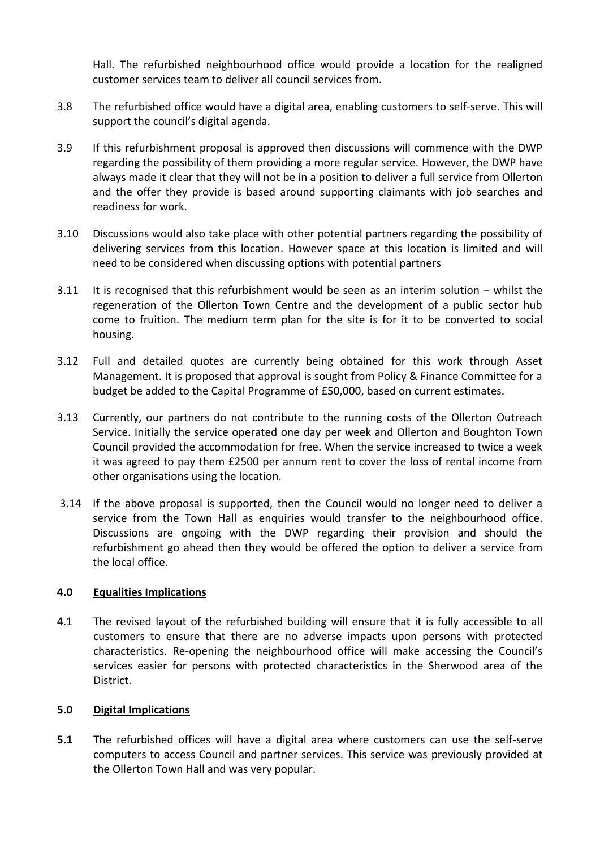Hall. The refurbished neighbourhood office would provide a location for the realigned customer services team to deliver all council services from.

- 3.8 The refurbished office would have a digital area, enabling customers to self-serve. This will support the council's digital agenda.
- 3.9 If this refurbishment proposal is approved then discussions will commence with the DWP regarding the possibility of them providing a more regular service. However, the DWP have always made it clear that they will not be in a position to deliver a full service from Ollerton and the offer they provide is based around supporting claimants with job searches and readiness for work.
- 3.10 Discussions would also take place with other potential partners regarding the possibility of delivering services from this location. However space at this location is limited and will need to be considered when discussing options with potential partners
- 3.11 It is recognised that this refurbishment would be seen as an interim solution whilst the regeneration of the Ollerton Town Centre and the development of a public sector hub come to fruition. The medium term plan for the site is for it to be converted to social housing.
- 3.12 Full and detailed quotes are currently being obtained for this work through Asset Management. It is proposed that approval is sought from Policy & Finance Committee for a budget be added to the Capital Programme of £50,000, based on current estimates.
- 3.13 Currently, our partners do not contribute to the running costs of the Ollerton Outreach Service. Initially the service operated one day per week and Ollerton and Boughton Town Council provided the accommodation for free. When the service increased to twice a week it was agreed to pay them £2500 per annum rent to cover the loss of rental income from other organisations using the location.
- 3.14 If the above proposal is supported, then the Council would no longer need to deliver a service from the Town Hall as enquiries would transfer to the neighbourhood office. Discussions are ongoing with the DWP regarding their provision and should the refurbishment go ahead then they would be offered the option to deliver a service from the local office.

# **4.0 Equalities Implications**

4.1 The revised layout of the refurbished building will ensure that it is fully accessible to all customers to ensure that there are no adverse impacts upon persons with protected characteristics. Re-opening the neighbourhood office will make accessing the Council's services easier for persons with protected characteristics in the Sherwood area of the District.

# **5.0 Digital Implications**

**5.1** The refurbished offices will have a digital area where customers can use the self-serve computers to access Council and partner services. This service was previously provided at the Ollerton Town Hall and was very popular.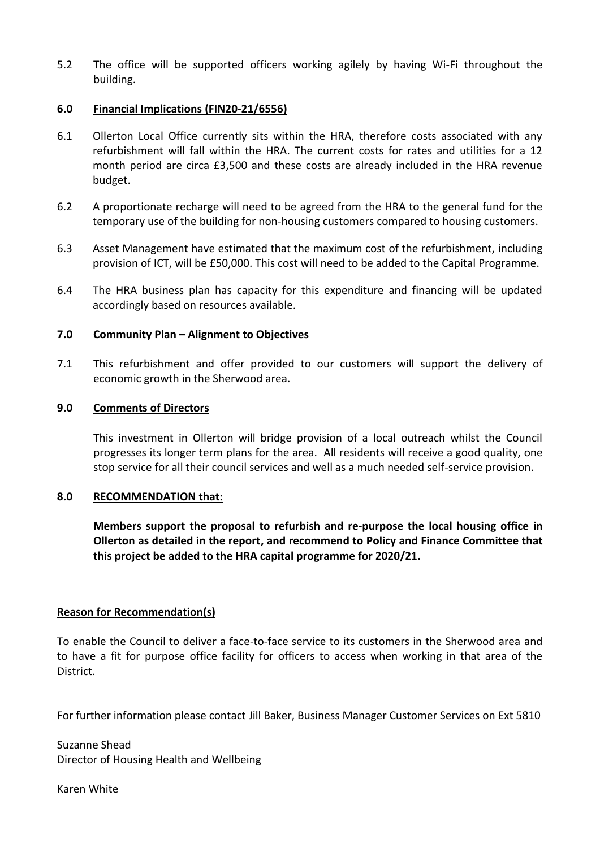5.2 The office will be supported officers working agilely by having Wi-Fi throughout the building.

#### **6.0 Financial Implications (FIN20-21/6556)**

- 6.1 Ollerton Local Office currently sits within the HRA, therefore costs associated with any refurbishment will fall within the HRA. The current costs for rates and utilities for a 12 month period are circa £3,500 and these costs are already included in the HRA revenue budget.
- 6.2 A proportionate recharge will need to be agreed from the HRA to the general fund for the temporary use of the building for non-housing customers compared to housing customers.
- 6.3 Asset Management have estimated that the maximum cost of the refurbishment, including provision of ICT, will be £50,000. This cost will need to be added to the Capital Programme.
- 6.4 The HRA business plan has capacity for this expenditure and financing will be updated accordingly based on resources available.

#### **7.0 Community Plan – Alignment to Objectives**

7.1 This refurbishment and offer provided to our customers will support the delivery of economic growth in the Sherwood area.

#### **9.0 Comments of Directors**

This investment in Ollerton will bridge provision of a local outreach whilst the Council progresses its longer term plans for the area. All residents will receive a good quality, one stop service for all their council services and well as a much needed self-service provision.

#### **8.0 RECOMMENDATION that:**

**Members support the proposal to refurbish and re-purpose the local housing office in Ollerton as detailed in the report, and recommend to Policy and Finance Committee that this project be added to the HRA capital programme for 2020/21.**

# **Reason for Recommendation(s)**

To enable the Council to deliver a face-to-face service to its customers in the Sherwood area and to have a fit for purpose office facility for officers to access when working in that area of the District.

For further information please contact Jill Baker, Business Manager Customer Services on Ext 5810

Suzanne Shead Director of Housing Health and Wellbeing

Karen White